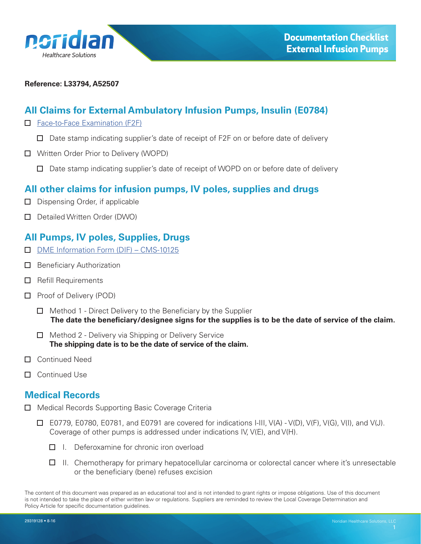

#### **Reference: L33794, A52507**

## **All Claims for External Ambulatory Infusion Pumps, Insulin (E0784)**

- □ Face-to-Face Examination (F2F)
	- $\Box$  Date stamp indicating supplier's date of receipt of F2F on or before date of delivery
- Written Order Prior to Delivery (WOPD)
	- $\Box$  Date stamp indicating supplier's date of receipt of WOPD on or before date of delivery

#### **All other claims for infusion pumps, IV poles, supplies and drugs**

- $\Box$  Dispensing Order, if applicable
- Detailed Written Order (DWO)

### **All Pumps, IV poles, Supplies, Drugs**

- □ DME Information Form (DIF) CMS-10125
- $\Box$  Beneficiary Authorization
- □ Refill Requirements
- □ Proof of Delivery (POD)
	- $\Box$  Method 1 Direct Delivery to the Beneficiary by the Supplier  **The date the beneficiary/designee signs for the supplies is to be the date of service of the claim.**
	- $\Box$  Method 2 Delivery via Shipping or Delivery Service **The shipping date is to be the date of service of the claim.**
- □ Continued Need
- □ Continued Use

#### **Medical Records**

- □ Medical Records Supporting Basic Coverage Criteria
	- $\Box$  E0779, E0780, E0781, and E0791 are covered for indications I-III, V(A) V(D), V(F), V(G), V(I), and V(J). Coverage of other pumps is addressed under indications IV, V(E), and V(H).
		- $\Box$  I. Deferoxamine for chronic iron overload
		- $\Box$  II. Chemotherapy for primary hepatocellular carcinoma or colorectal cancer where it's unresectable or the beneficiary (bene) refuses excision

The content of this document was prepared as an educational tool and is not intended to grant rights or impose obligations. Use of this document is not intended to take the place of either written law or regulations. Suppliers are reminded to review the Local Coverage Determination and Policy Article for specific documentation guidelines.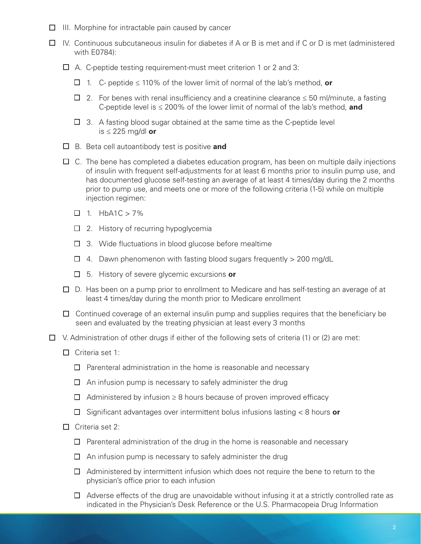- $\Box$  III. Morphine for intractable pain caused by cancer
- $\Box$  IV. Continuous subcutaneous insulin for diabetes if A or B is met and if C or D is met (administered with E0784):
	- A. C-peptide testing requirement-must meet criterion 1 or 2 and 3:
		- 1. C- peptide ≤ 110% of the lower limit of normal of the lab's method, **or**
		- $□$  2. For benes with renal insufficiency and a creatinine clearance ≤ 50 ml/minute, a fasting C-peptide level is ≤ 200% of the lower limit of normal of the lab's method, **and**
		- $\Box$  3. A fasting blood sugar obtained at the same time as the C-peptide level is ≤ 225 mg/dl **or**
	- B. Beta cell autoantibody test is positive **and**
	- $\Box$  C. The bene has completed a diabetes education program, has been on multiple daily injections of insulin with frequent self-adjustments for at least 6 months prior to insulin pump use, and has documented glucose self-testing an average of at least 4 times/day during the 2 months prior to pump use, and meets one or more of the following criteria (1-5) while on multiple injection regimen:
		- $\Box$  1. HbA1C > 7%
		- $\Box$  2. History of recurring hypoglycemia
		- $\Box$  3. Wide fluctuations in blood glucose before mealtime
		- $\Box$  4. Dawn phenomenon with fasting blood sugars frequently > 200 mg/dL
		- 5. History of severe glycemic excursions **or**
	- $\Box$  D. Has been on a pump prior to enrollment to Medicare and has self-testing an average of at least 4 times/day during the month prior to Medicare enrollment
	- $\Box$  Continued coverage of an external insulin pump and supplies requires that the beneficiary be seen and evaluated by the treating physician at least every 3 months
- $\Box$  V. Administration of other drugs if either of the following sets of criteria (1) or (2) are met:
	- $\Box$  Criteria set 1:
		- $\Box$  Parenteral administration in the home is reasonable and necessary
		- $\Box$  An infusion pump is necessary to safely administer the drug
		- $\Box$  Administered by infusion  $\geq 8$  hours because of proven improved efficacy
		- Significant advantages over intermittent bolus infusions lasting < 8 hours **or**
	- $\Box$  Criteria set 2:
		- $\Box$  Parenteral administration of the drug in the home is reasonable and necessary
		- $\Box$  An infusion pump is necessary to safely administer the drug
		- $\Box$  Administered by intermittent infusion which does not require the bene to return to the physician's office prior to each infusion
		- $\Box$  Adverse effects of the drug are unavoidable without infusing it at a strictly controlled rate as indicated in the Physician's Desk Reference or the U.S. Pharmacopeia Drug Information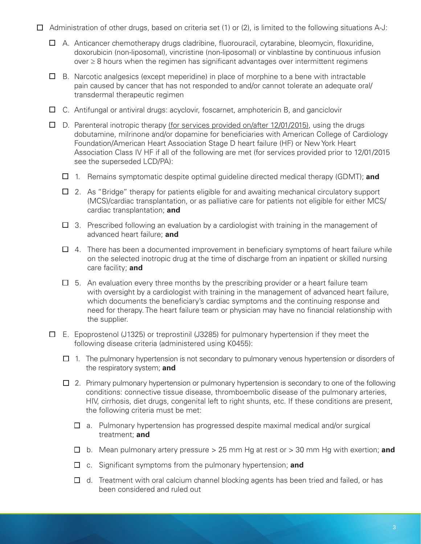- $\Box$  Administration of other drugs, based on criteria set (1) or (2), is limited to the following situations A-J:
	- $\Box$  A. Anticancer chemotherapy drugs cladribine, fluorouracil, cytarabine, bleomycin, floxuridine, doxorubicin (non-liposomal), vincristine (non-liposomal) or vinblastine by continuous infusion over ≥ 8 hours when the regimen has significant advantages over intermittent regimens
	- $\Box$  B. Narcotic analgesics (except meperidine) in place of morphine to a bene with intractable pain caused by cancer that has not responded to and/or cannot tolerate an adequate oral/ transdermal therapeutic regimen
	- □ C. Antifungal or antiviral drugs: acyclovir, foscarnet, amphotericin B, and ganciclovir
	- $\Box$  D. Parenteral inotropic therapy (for services provided on/after 12/01/2015), using the drugs dobutamine, milrinone and/or dopamine for beneficiaries with American College of Cardiology Foundation/American Heart Association Stage D heart failure (HF) or New York Heart Association Class IV HF if all of the following are met (for services provided prior to 12/01/2015 see the superseded LCD/PA):
		- 1. Remains symptomatic despite optimal guideline directed medical therapy (GDMT); **and**
		- $\Box$  2. As "Bridge" therapy for patients eligible for and awaiting mechanical circulatory support (MCS)/cardiac transplantation, or as palliative care for patients not eligible for either MCS/ cardiac transplantation; **and**
		- $\Box$  3. Prescribed following an evaluation by a cardiologist with training in the management of advanced heart failure; **and**
		- $\Box$  4. There has been a documented improvement in beneficiary symptoms of heart failure while on the selected inotropic drug at the time of discharge from an inpatient or skilled nursing care facility; **and**
		- $\Box$  5. An evaluation every three months by the prescribing provider or a heart failure team with oversight by a cardiologist with training in the management of advanced heart failure, which documents the beneficiary's cardiac symptoms and the continuing response and need for therapy. The heart failure team or physician may have no financial relationship with the supplier.
	- $\Box$  E. Epoprostenol (J1325) or treprostinil (J3285) for pulmonary hypertension if they meet the following disease criteria (administered using K0455):
		- $\Box$  1. The pulmonary hypertension is not secondary to pulmonary venous hypertension or disorders of the respiratory system; **and**
		- $\Box$  2. Primary pulmonary hypertension or pulmonary hypertension is secondary to one of the following conditions: connective tissue disease, thromboembolic disease of the pulmonary arteries, HIV, cirrhosis, diet drugs, congenital left to right shunts, etc. If these conditions are present, the following criteria must be met:
			- $\Box$  a. Pulmonary hypertension has progressed despite maximal medical and/or surgical treatment; **and**
			- b. Mean pulmonary artery pressure > 25 mm Hg at rest or > 30 mm Hg with exertion; **and**
			- c. Significant symptoms from the pulmonary hypertension; **and**
			- $\Box$  d. Treatment with oral calcium channel blocking agents has been tried and failed, or has been considered and ruled out